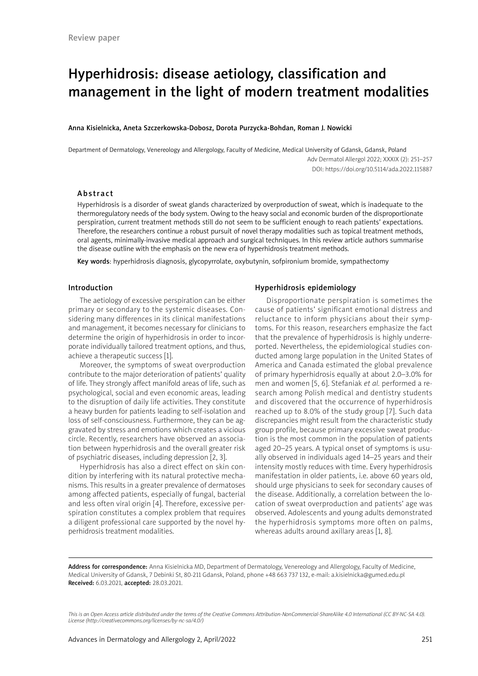# Hyperhidrosis: disease aetiology, classification and management in the light of modern treatment modalities

#### Anna Kisielnicka, Aneta Szczerkowska-Dobosz, Dorota Purzycka-Bohdan, Roman J. Nowicki

Department of Dermatology, Venereology and Allergology, Faculty of Medicine, Medical University of Gdansk, Gdansk, Poland Adv Dermatol Allergol 2022; XXXIX (2): 251–257 DOI: https://doi.org/10.5114/ada.2022.115887

## Abstract

Hyperhidrosis is a disorder of sweat glands characterized by overproduction of sweat, which is inadequate to the thermoregulatory needs of the body system. Owing to the heavy social and economic burden of the disproportionate perspiration, current treatment methods still do not seem to be sufficient enough to reach patients' expectations. Therefore, the researchers continue a robust pursuit of novel therapy modalities such as topical treatment methods, oral agents, minimally-invasive medical approach and surgical techniques. In this review article authors summarise the disease outline with the emphasis on the new era of hyperhidrosis treatment methods.

Key words: hyperhidrosis diagnosis, glycopyrrolate, oxybutynin, sofpironium bromide, sympathectomy

#### Introduction

The aetiology of excessive perspiration can be either primary or secondary to the systemic diseases. Considering many differences in its clinical manifestations and management, it becomes necessary for clinicians to determine the origin of hyperhidrosis in order to incorporate individually tailored treatment options, and thus, achieve a therapeutic success [1].

Moreover, the symptoms of sweat overproduction contribute to the major deterioration of patients' quality of life. They strongly affect manifold areas of life, such as psychological, social and even economic areas, leading to the disruption of daily life activities. They constitute a heavy burden for patients leading to self-isolation and loss of self-consciousness. Furthermore, they can be aggravated by stress and emotions which creates a vicious circle. Recently, researchers have observed an association between hyperhidrosis and the overall greater risk of psychiatric diseases, including depression [2, 3].

Hyperhidrosis has also a direct effect on skin condition by interfering with its natural protective mechanisms. This results in a greater prevalence of dermatoses among affected patients, especially of fungal, bacterial and less often viral origin [4]. Therefore, excessive perspiration constitutes a complex problem that requires a diligent professional care supported by the novel hyperhidrosis treatment modalities.

## Hyperhidrosis epidemiology

Disproportionate perspiration is sometimes the cause of patients' significant emotional distress and reluctance to inform physicians about their symptoms. For this reason, researchers emphasize the fact that the prevalence of hyperhidrosis is highly underreported. Nevertheless, the epidemiological studies conducted among large population in the United States of America and Canada estimated the global prevalence of primary hyperhidrosis equally at about 2.0–3.0% for men and women [5, 6]. Stefaniak *et al.* performed a research among Polish medical and dentistry students and discovered that the occurrence of hyperhidrosis reached up to 8.0% of the study group [7]. Such data discrepancies might result from the characteristic study group profile, because primary excessive sweat production is the most common in the population of patients aged 20–25 years. A typical onset of symptoms is usually observed in individuals aged 14–25 years and their intensity mostly reduces with time. Every hyperhidrosis manifestation in older patients, i.e. above 60 years old, should urge physicians to seek for secondary causes of the disease. Additionally, a correlation between the location of sweat overproduction and patients' age was observed. Adolescents and young adults demonstrated the hyperhidrosis symptoms more often on palms, whereas adults around axillary areas [1, 8].

Address for correspondence: Anna Kisielnicka MD, Department of Dermatology, Venereology and Allergology, Faculty of Medicine, Medical University of Gdansk, 7 Debinki St, 80-211 Gdansk, Poland, phone +48 663 737 132, e-mail: a.kisielnicka@gumed.edu.pl Received: 6.03.2021, accepted: 28.03.2021.

*This is an Open Access article distributed under the terms of the Creative Commons Attribution-NonCommercial-ShareAlike 4.0 International (CC BY-NC-SA 4.0). License (http://creativecommons.org/licenses/by-nc-sa/4.0/)*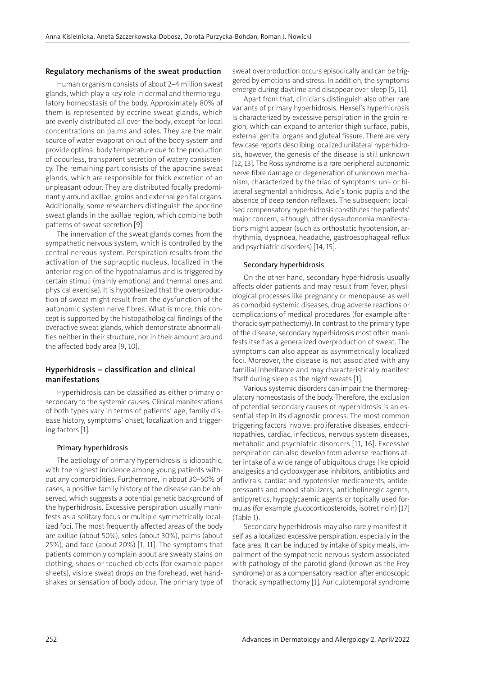#### Regulatory mechanisms of the sweat production

Human organism consists of about 2–4 million sweat glands, which play a key role in dermal and thermoregulatory homeostasis of the body. Approximately 80% of them is represented by eccrine sweat glands, which are evenly distributed all over the body, except for local concentrations on palms and soles. They are the main source of water evaporation out of the body system and provide optimal body temperature due to the production of odourless, transparent secretion of watery consistency. The remaining part consists of the apocrine sweat glands, which are responsible for thick excretion of an unpleasant odour. They are distributed focally predominantly around axillae, groins and external genital organs. Additionally, some researchers distinguish the apocrine sweat glands in the axillae region, which combine both patterns of sweat secretion [9].

The innervation of the sweat glands comes from the sympathetic nervous system, which is controlled by the central nervous system. Perspiration results from the activation of the supraoptic nucleus, localized in the anterior region of the hypothalamus and is triggered by certain stimuli (mainly emotional and thermal ones and physical exercise). It is hypothesized that the overproduction of sweat might result from the dysfunction of the autonomic system nerve fibres. What is more, this concept is supported by the histopathological findings of the overactive sweat glands, which demonstrate abnormalities neither in their structure, nor in their amount around the affected body area [9, 10].

# Hyperhidrosis – classification and clinical manifestations

Hyperhidrosis can be classified as either primary or secondary to the systemic causes. Clinical manifestations of both types vary in terms of patients' age, family disease history, symptoms' onset, localization and triggering factors [1].

#### Primary hyperhidrosis

The aetiology of primary hyperhidrosis is idiopathic, with the highest incidence among young patients without any comorbidities. Furthermore, in about 30–50% of cases, a positive family history of the disease can be observed, which suggests a potential genetic background of the hyperhidrosis. Excessive perspiration usually manifests as a solitary focus or multiple symmetrically localized foci. The most frequently affected areas of the body are axillae (about 50%), soles (about 30%), palms (about 25%), and face (about 20%) [1, 11]. The symptoms that patients commonly complain about are sweaty stains on clothing, shoes or touched objects (for example paper sheets), visible sweat drops on the forehead, wet handshakes or sensation of body odour. The primary type of sweat overproduction occurs episodically and can be triggered by emotions and stress. In addition, the symptoms emerge during daytime and disappear over sleep [5, 11].

Apart from that, clinicians distinguish also other rare variants of primary hyperhidrosis. Hexsel's hyperhidrosis is characterized by excessive perspiration in the groin region, which can expand to anterior thigh surface, pubis, external genital organs and gluteal fissure. There are very few case reports describing localized unilateral hyperhidrosis, however, the genesis of the disease is still unknown [12, 13]. The Ross syndrome is a rare peripheral autonomic nerve fibre damage or degeneration of unknown mechanism, characterized by the triad of symptoms: uni- or bilateral segmental anhidrosis, Adie's tonic pupils and the absence of deep tendon reflexes. The subsequent localised compensatory hyperhidrosis constitutes the patients' major concern, although, other dysautonomia manifestations might appear (such as orthostatic hypotension, arrhythmia, dyspnoea, headache, gastroesophageal reflux and psychiatric disorders) [14, 15].

#### Secondary hyperhidrosis

On the other hand, secondary hyperhidrosis usually affects older patients and may result from fever, physiological processes like pregnancy or menopause as well as comorbid systemic diseases, drug adverse reactions or complications of medical procedures (for example after thoracic sympathectomy). In contrast to the primary type of the disease, secondary hyperhidrosis most often manifests itself as a generalized overproduction of sweat. The symptoms can also appear as asymmetrically localized foci. Moreover, the disease is not associated with any familial inheritance and may characteristically manifest itself during sleep as the night sweats [1].

Various systemic disorders can impair the thermoregulatory homeostasis of the body. Therefore, the exclusion of potential secondary causes of hyperhidrosis is an essential step in its diagnostic process. The most common triggering factors involve: proliferative diseases, endocrinopathies, cardiac, infectious, nervous system diseases, metabolic and psychiatric disorders [11, 16]. Excessive perspiration can also develop from adverse reactions after intake of a wide range of ubiquitous drugs like opioid analgesics and cyclooxygenase inhibitors, antibiotics and antivirals, cardiac and hypotensive medicaments, antidepressants and mood stabilizers, anticholinergic agents, antipyretics, hypoglycaemic agents or topically used formulas (for example glucocorticosteroids, isotretinoin) [17] (Table 1).

Secondary hyperhidrosis may also rarely manifest itself as a localized excessive perspiration, especially in the face area. It can be induced by intake of spicy meals, impairment of the sympathetic nervous system associated with pathology of the parotid gland (known as the Frey syndrome) or as a compensatory reaction after endoscopic thoracic sympathectomy [1]. Auriculotemporal syndrome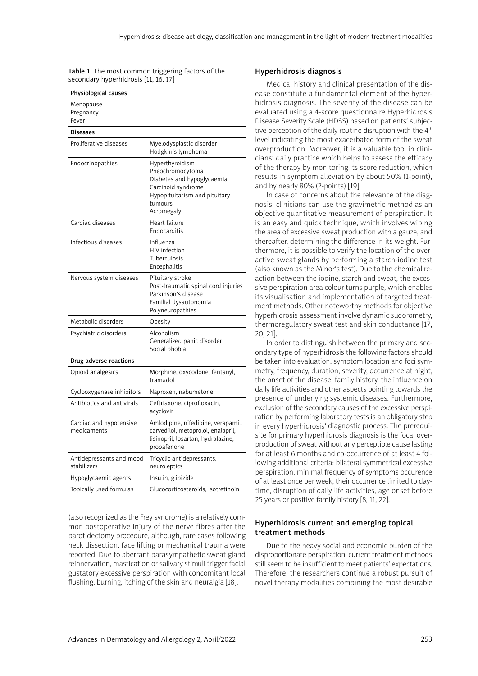Table 1. The most common triggering factors of the secondary hyperhidrosis [11, 16, 17]

| Physiological causes                    |                                                                                                                                                   |  |
|-----------------------------------------|---------------------------------------------------------------------------------------------------------------------------------------------------|--|
| Menopause<br>Pregnancy<br>Fever         |                                                                                                                                                   |  |
| Diseases                                |                                                                                                                                                   |  |
| Proliferative diseases                  | Myelodysplastic disorder<br>Hodgkin's lymphoma                                                                                                    |  |
| Endocrinopathies                        | Hyperthyroidism<br>Pheochromocytoma<br>Diabetes and hypoglycaemia<br>Carcinoid syndrome<br>Hypopituitarism and pituitary<br>tumours<br>Acromegaly |  |
| Cardiac diseases                        | Heart failure<br>Endocarditis                                                                                                                     |  |
| Infectious diseases                     | Influenza<br>HIV infection<br>Tuberculosis<br>Encephalitis                                                                                        |  |
| Nervous system diseases                 | Pituitary stroke<br>Post-traumatic spinal cord injuries<br>Parkinson's disease<br>Familial dysautonomia<br>Polyneuropathies                       |  |
| Metabolic disorders                     | Obesity                                                                                                                                           |  |
| Psychiatric disorders                   | Alcoholism<br>Generalized panic disorder<br>Social phobia                                                                                         |  |
| Drug adverse reactions                  |                                                                                                                                                   |  |
| Opioid analgesics                       | Morphine, oxycodone, fentanyl,<br>tramadol                                                                                                        |  |
| Cyclooxygenase inhibitors               | Naproxen, nabumetone                                                                                                                              |  |
| Antibiotics and antivirals              | Ceftriaxone, ciprofloxacin,<br>acyclovir                                                                                                          |  |
| Cardiac and hypotensive<br>medicaments  | Amlodipine, nifedipine, verapamil,<br>carvedilol, metoprolol, enalapril,<br>lisinopril, losartan, hydralazine,<br>propafenone                     |  |
| Antidepressants and mood<br>stabilizers | Tricyclic antidepressants,<br>neuroleptics                                                                                                        |  |
| Hypoglycaemic agents                    | Insulin, glipizide                                                                                                                                |  |
| Topically used formulas                 | Glucocorticosteroids, isotretinoin                                                                                                                |  |

(also recognized as the Frey syndrome) is a relatively common postoperative injury of the nerve fibres after the parotidectomy procedure, although, rare cases following neck dissection, face lifting or mechanical trauma were reported. Due to aberrant parasympathetic sweat gland reinnervation, mastication or salivary stimuli trigger facial gustatory excessive perspiration with concomitant local flushing, burning, itching of the skin and neuralgia [18].

# Hyperhidrosis diagnosis

Medical history and clinical presentation of the disease constitute a fundamental element of the hyperhidrosis diagnosis. The severity of the disease can be evaluated using a 4-score questionnaire Hyperhidrosis Disease Severity Scale (HDSS) based on patients' subjective perception of the daily routine disruption with the 4<sup>th</sup> level indicating the most exacerbated form of the sweat overproduction. Moreover, it is a valuable tool in clinicians' daily practice which helps to assess the efficacy of the therapy by monitoring its score reduction, which results in symptom alleviation by about 50% (1-point), and by nearly 80% (2-points) [19].

In case of concerns about the relevance of the diagnosis, clinicians can use the gravimetric method as an objective quantitative measurement of perspiration. It is an easy and quick technique, which involves wiping the area of excessive sweat production with a gauze, and thereafter, determining the difference in its weight. Furthermore, it is possible to verify the location of the overactive sweat glands by performing a starch-iodine test (also known as the Minor's test). Due to the chemical reaction between the iodine, starch and sweat, the excessive perspiration area colour turns purple, which enables its visualisation and implementation of targeted treatment methods. Other noteworthy methods for objective hyperhidrosis assessment involve dynamic sudorometry, thermoregulatory sweat test and skin conductance [17, 20, 21].

In order to distinguish between the primary and secondary type of hyperhidrosis the following factors should be taken into evaluation: symptom location and foci symmetry, frequency, duration, severity, occurrence at night, the onset of the disease, family history, the influence on daily life activities and other aspects pointing towards the presence of underlying systemic diseases. Furthermore, exclusion of the secondary causes of the excessive perspiration by performing laboratory tests is an obligatory step in every hyperhidrosis' diagnostic process. The prerequisite for primary hyperhidrosis diagnosis is the focal overproduction of sweat without any perceptible cause lasting for at least 6 months and co-occurrence of at least 4 following additional criteria: bilateral symmetrical excessive perspiration, minimal frequency of symptoms occurence of at least once per week, their occurrence limited to daytime, disruption of daily life activities, age onset before 25 years or positive family history [8, 11, 22].

# Hyperhidrosis current and emerging topical treatment methods

Due to the heavy social and economic burden of the disproportionate perspiration, current treatment methods still seem to be insufficient to meet patients' expectations. Therefore, the researchers continue a robust pursuit of novel therapy modalities combining the most desirable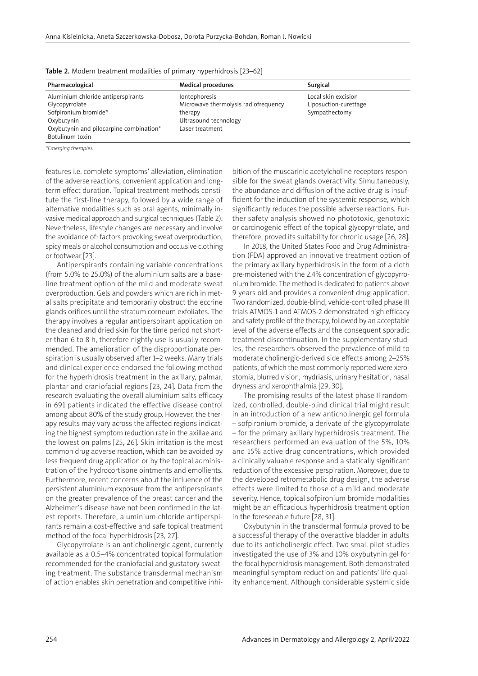| Pharmacological                         | <b>Medical procedures</b>            | Surgical              |
|-----------------------------------------|--------------------------------------|-----------------------|
| Aluminium chloride antiperspirants      | lontophoresis                        | Local skin excision   |
| Glycopyrrolate                          | Microwave thermolysis radiofrequency | Liposuction-curettage |
| Sofpironium bromide*                    | therapy                              | Sympathectomy         |
| Oxybutynin                              | Ultrasound technology                |                       |
| Oxybutynin and pilocarpine combination* | Laser treatment                      |                       |
| Botulinum toxin                         |                                      |                       |

Table 2. Modern treatment modalities of primary hyperhidrosis [23–62]

*\*Emerging therapies.*

features i.e. complete symptoms' alleviation, elimination of the adverse reactions, convenient application and longterm effect duration. Topical treatment methods constitute the first-line therapy, followed by a wide range of alternative modalities such as oral agents, minimally invasive medical approach and surgical techniques (Table 2). Nevertheless, lifestyle changes are necessary and involve the avoidance of: factors provoking sweat overproduction, spicy meals or alcohol consumption and occlusive clothing or footwear [23].

Antiperspirants containing variable concentrations (from 5.0% to 25.0%) of the aluminium salts are a baseline treatment option of the mild and moderate sweat overproduction. Gels and powders which are rich in metal salts precipitate and temporarily obstruct the eccrine glands orifices until the stratum corneum exfoliates. The therapy involves a regular antiperspirant application on the cleaned and dried skin for the time period not shorter than 6 to 8 h, therefore nightly use is usually recommended. The amelioration of the disproportionate perspiration is usually observed after 1–2 weeks. Many trials and clinical experience endorsed the following method for the hyperhidrosis treatment in the axillary, palmar, plantar and craniofacial regions [23, 24]. Data from the research evaluating the overall aluminium salts efficacy in 691 patients indicated the effective disease control among about 80% of the study group. However, the therapy results may vary across the affected regions indicating the highest symptom reduction rate in the axillae and the lowest on palms [25, 26]. Skin irritation is the most common drug adverse reaction, which can be avoided by less frequent drug application or by the topical administration of the hydrocortisone ointments and emollients. Furthermore, recent concerns about the influence of the persistent aluminium exposure from the antiperspirants on the greater prevalence of the breast cancer and the Alzheimer's disease have not been confirmed in the latest reports. Therefore, aluminium chloride antiperspirants remain a cost-effective and safe topical treatment method of the focal hyperhidrosis [23, 27].

Glycopyrrolate is an anticholinergic agent, currently available as a 0.5–4% concentrated topical formulation recommended for the craniofacial and gustatory sweating treatment. The substance transdermal mechanism of action enables skin penetration and competitive inhibition of the muscarinic acetylcholine receptors responsible for the sweat glands overactivity. Simultaneously, the abundance and diffusion of the active drug is insufficient for the induction of the systemic response, which significantly reduces the possible adverse reactions. Further safety analysis showed no phototoxic, genotoxic or carcinogenic effect of the topical glycopyrrolate, and therefore, proved its suitability for chronic usage [26, 28].

In 2018, the United States Food and Drug Administration (FDA) approved an innovative treatment option of the primary axillary hyperhidrosis in the form of a cloth pre-moistened with the 2.4% concentration of glycopyrronium bromide. The method is dedicated to patients above 9 years old and provides a convenient drug application. Two randomized, double-blind, vehicle-controlled phase III trials ATMOS-1 and ATMOS-2 demonstrated high efficacy and safety profile of the therapy, followed by an acceptable level of the adverse effects and the consequent sporadic treatment discontinuation. In the supplementary studies, the researchers observed the prevalence of mild to moderate cholinergic-derived side effects among 2–25% patients, of which the most commonly reported were xerostomia, blurred vision, mydriasis, urinary hesitation, nasal dryness and xerophthalmia [29, 30].

The promising results of the latest phase II randomized, controlled, double-blind clinical trial might result in an introduction of a new anticholinergic gel formula – sofpironium bromide, a derivate of the glycopyrrolate – for the primary axillary hyperhidrosis treatment. The researchers performed an evaluation of the 5%, 10% and 15% active drug concentrations, which provided a clinically valuable response and a statically significant reduction of the excessive perspiration. Moreover, due to the developed retrometabolic drug design, the adverse effects were limited to those of a mild and moderate severity. Hence, topical sofpironium bromide modalities might be an efficacious hyperhidrosis treatment option in the foreseeable future [28, 31].

Oxybutynin in the transdermal formula proved to be a successful therapy of the overactive bladder in adults due to its anticholinergic effect. Two small pilot studies investigated the use of 3% and 10% oxybutynin gel for the focal hyperhidrosis management. Both demonstrated meaningful symptom reduction and patients' life quality enhancement. Although considerable systemic side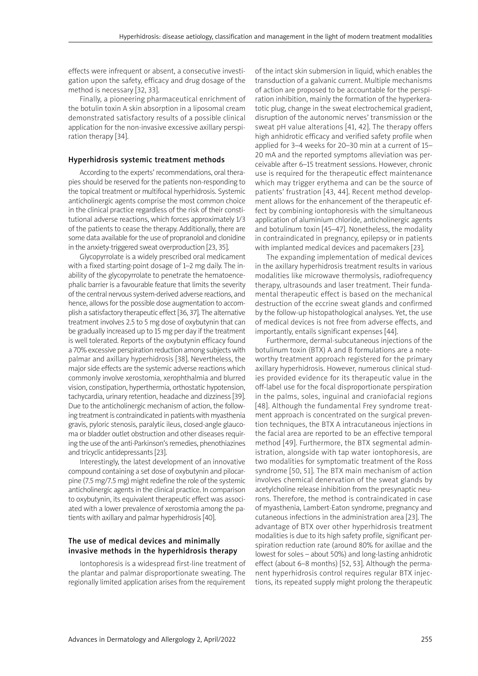effects were infrequent or absent, a consecutive investigation upon the safety, efficacy and drug dosage of the method is necessary [32, 33].

Finally, a pioneering pharmaceutical enrichment of the botulin toxin A skin absorption in a liposomal cream demonstrated satisfactory results of a possible clinical application for the non-invasive excessive axillary perspiration therapy [34].

# Hyperhidrosis systemic treatment methods

According to the experts' recommendations, oral therapies should be reserved for the patients non-responding to the topical treatment or multifocal hyperhidrosis. Systemic anticholinergic agents comprise the most common choice in the clinical practice regardless of the risk of their constitutional adverse reactions, which forces approximately 1/3 of the patients to cease the therapy. Additionally, there are some data available for the use of propranolol and clonidine in the anxiety-triggered sweat overproduction [23, 35].

Glycopyrrolate is a widely prescribed oral medicament with a fixed starting-point dosage of 1–2 mg daily. The inability of the glycopyrrolate to penetrate the hematoencephalic barrier is a favourable feature that limits the severity of the central nervous system-derived adverse reactions, and hence, allows for the possible dose augmentation to accomplish a satisfactory therapeutic effect [36, 37]. The alternative treatment involves 2.5 to 5 mg dose of oxybutynin that can be gradually increased up to 15 mg per day if the treatment is well tolerated. Reports of the oxybutynin efficacy found a 70% excessive perspiration reduction among subjects with palmar and axillary hyperhidrosis [38]. Nevertheless, the major side effects are the systemic adverse reactions which commonly involve xerostomia, xerophthalmia and blurred vision, constipation, hyperthermia, orthostatic hypotension, tachycardia, urinary retention, headache and dizziness [39]. Due to the anticholinergic mechanism of action, the following treatment is contraindicated in patients with myasthenia gravis, pyloric stenosis, paralytic ileus, closed-angle glaucoma or bladder outlet obstruction and other diseases requiring the use of the anti-Parkinson's remedies, phenothiazines and tricyclic antidepressants [23].

Interestingly, the latest development of an innovative compound containing a set dose of oxybutynin and pilocarpine (7.5 mg/7.5 mg) might redefine the role of the systemic anticholinergic agents in the clinical practice. In comparison to oxybutynin, its equivalent therapeutic effect was associated with a lower prevalence of xerostomia among the patients with axillary and palmar hyperhidrosis [40].

# The use of medical devices and minimally invasive methods in the hyperhidrosis therapy

Iontophoresis is a widespread first-line treatment of the plantar and palmar disproportionate sweating. The regionally limited application arises from the requirement of the intact skin submersion in liquid, which enables the transduction of a galvanic current. Multiple mechanisms of action are proposed to be accountable for the perspiration inhibition, mainly the formation of the hyperkeratotic plug, change in the sweat electrochemical gradient, disruption of the autonomic nerves' transmission or the sweat pH value alterations [41, 42]. The therapy offers high anhidrotic efficacy and verified safety profile when applied for 3–4 weeks for 20–30 min at a current of 15– 20 mA and the reported symptoms alleviation was perceivable after 6–15 treatment sessions. However, chronic use is required for the therapeutic effect maintenance which may trigger erythema and can be the source of patients' frustration [43, 44]. Recent method development allows for the enhancement of the therapeutic effect by combining iontophoresis with the simultaneous application of aluminium chloride, anticholinergic agents and botulinum toxin [45–47]. Nonetheless, the modality in contraindicated in pregnancy, epilepsy or in patients with implanted medical devices and pacemakers [23].

The expanding implementation of medical devices in the axillary hyperhidrosis treatment results in various modalities like microwave thermolysis, radiofrequency therapy, ultrasounds and laser treatment. Their fundamental therapeutic effect is based on the mechanical destruction of the eccrine sweat glands and confirmed by the follow-up histopathological analyses. Yet, the use of medical devices is not free from adverse effects, and importantly, entails significant expenses [44].

Furthermore, dermal-subcutaneous injections of the botulinum toxin (BTX) A and B formulations are a noteworthy treatment approach registered for the primary axillary hyperhidrosis. However, numerous clinical studies provided evidence for its therapeutic value in the off-label use for the focal disproportionate perspiration in the palms, soles, inguinal and craniofacial regions [48]. Although the fundamental Frey syndrome treatment approach is concentrated on the surgical prevention techniques, the BTX A intracutaneous injections in the facial area are reported to be an effective temporal method [49]. Furthermore, the BTX segmental administration, alongside with tap water iontophoresis, are two modalities for symptomatic treatment of the Ross syndrome [50, 51]. The BTX main mechanism of action involves chemical denervation of the sweat glands by acetylcholine release inhibition from the presynaptic neurons. Therefore, the method is contraindicated in case of myasthenia, Lambert-Eaton syndrome, pregnancy and cutaneous infections in the administration area [23]. The advantage of BTX over other hyperhidrosis treatment modalities is due to its high safety profile, significant perspiration reduction rate (around 80% for axillae and the lowest for soles – about 50%) and long-lasting anhidrotic effect (about 6–8 months) [52, 53]. Although the permanent hyperhidrosis control requires regular BTX injections, its repeated supply might prolong the therapeutic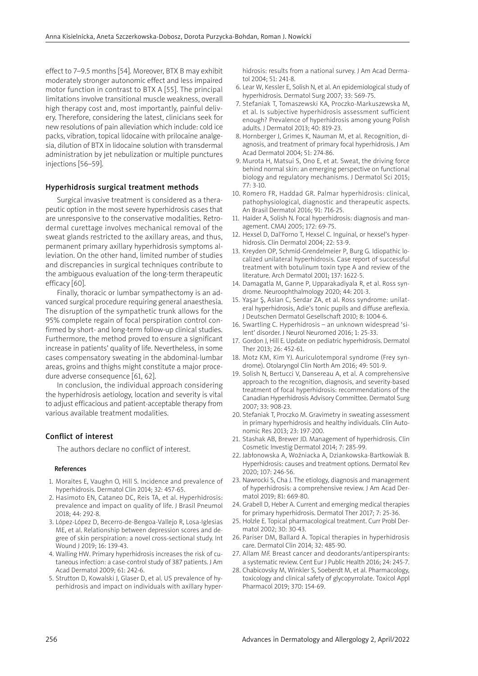effect to 7–9.5 months [54]. Moreover, BTX B may exhibit moderately stronger autonomic effect and less impaired motor function in contrast to BTX A [55]. The principal limitations involve transitional muscle weakness, overall high therapy cost and, most importantly, painful delivery. Therefore, considering the latest, clinicians seek for new resolutions of pain alleviation which include: cold ice packs, vibration, topical lidocaine with prilocaine analgesia, dilution of BTX in lidocaine solution with transdermal administration by jet nebulization or multiple punctures injections [56–59].

#### Hyperhidrosis surgical treatment methods

Surgical invasive treatment is considered as a therapeutic option in the most severe hyperhidrosis cases that are unresponsive to the conservative modalities. Retrodermal curettage involves mechanical removal of the sweat glands restricted to the axillary areas, and thus, permanent primary axillary hyperhidrosis symptoms alleviation. On the other hand, limited number of studies and discrepancies in surgical techniques contribute to the ambiguous evaluation of the long-term therapeutic efficacy [60].

Finally, thoracic or lumbar sympathectomy is an advanced surgical procedure requiring general anaesthesia. The disruption of the sympathetic trunk allows for the 95% complete regain of focal perspiration control confirmed by short- and long-term follow-up clinical studies. Furthermore, the method proved to ensure a significant increase in patients' quality of life. Nevertheless, in some cases compensatory sweating in the abdominal-lumbar areas, groins and thighs might constitute a major procedure adverse consequence [61, 62].

In conclusion, the individual approach considering the hyperhidrosis aetiology, location and severity is vital to adjust efficacious and patient-acceptable therapy from various available treatment modalities.

## Conflict of interest

The authors declare no conflict of interest.

#### References

- 1. Moraites E, Vaughn O, Hill S. Incidence and prevalence of hyperhidrosis. Dermatol Clin 2014; 32: 457-65.
- 2. Hasimoto EN, Cataneo DC, Reis TA, et al. Hyperhidrosis: prevalence and impact on quality of life. J Brasil Pneumol 2018; 44: 292-8.
- 3. López-López D, Becerro-de-Bengoa-Vallejo R, Losa-Iglesias ME, et al. Relationship between depression scores and degree of skin perspiration: a novel cross-sectional study. Int Wound J 2019; 16: 139-43.
- 4. Walling HW. Primary hyperhidrosis increases the risk of cutaneous infection: a case-control study of 387 patients. J Am Acad Dermatol 2009; 61: 242-6.
- 5. Strutton D, Kowalski J, Glaser D, et al. US prevalence of hyperhidrosis and impact on individuals with axillary hyper-

hidrosis: results from a national survey. J Am Acad Dermatol 2004; 51: 241-8.

- 6. Lear W, Kessler E, Solish N, et al. An epidemiological study of hyperhidrosis. Dermatol Surg 2007; 33: S69-75.
- 7. Stefaniak T, Tomaszewski KA, Proczko-Markuszewska M, et al. Is subjective hyperhidrosis assessment sufficient enough? Prevalence of hyperhidrosis among young Polish adults. J Dermatol 2013; 40: 819-23.
- 8. Hornberger J, Grimes K, Nauman M, et al. Recognition, diagnosis, and treatment of primary focal hyperhidrosis. J Am Acad Dermatol 2004; 51: 274-86.
- 9. Murota H, Matsui S, Ono E, et at. Sweat, the driving force behind normal skin: an emerging perspective on functional biology and regulatory mechanisms. J Dermatol Sci 2015; 77: 3-10.
- 10. Romero FR, Haddad GR. Palmar hyperhidrosis: clinical, pathophysiological, diagnostic and therapeutic aspects. An Brasil Dermatol 2016; 91: 716-25.
- 11. Haider A, Solish N. Focal hyperhidrosis: diagnosis and management. CMAJ 2005; 172: 69-75.
- 12. Hexsel D, Dal'Forno T, Hexsel C. Inguinal, or hexsel's hyperhidrosis. Clin Dermatol 2004; 22: 53-9.
- 13. Kreyden OP, Schmid-Grendelmeier P, Burg G. Idiopathic localized unilateral hyperhidrosis. Case report of successful treatment with botulinum toxin type A and review of the literature. Arch Dermatol 2001; 137: 1622-5.
- 14. Damagatla M, Ganne P, Upparakadiyala R, et al. Ross syndrome. Neuroophthalmology 2020; 44: 201-3.
- 15. Yaşar Ş, Aslan C, Serdar ZA, et al. Ross syndrome: unilateral hyperhidrosis, Adie's tonic pupils and diffuse areflexia. J Deutschen Dermatol Gesellschaft 2010; 8: 1004-6.
- 16. Swartling C. Hyperhidrosis an unknown widespread 'silent' disorder. J Neurol Neuromed 2016; 1: 25-33.
- 17. Gordon J, Hill E. Update on pediatric hyperhidrosis. Dermatol Ther 2013; 26: 452-61.
- 18. Motz KM, Kim YJ. Auriculotemporal syndrome (Frey syndrome). Otolaryngol Clin North Am 2016; 49: 501-9.
- 19. Solish N, Bertucci V, Dansereau A, et al. A comprehensive approach to the recognition, diagnosis, and severity-based treatment of focal hyperhidrosis: recommendations of the Canadian Hyperhidrosis Advisory Committee. Dermatol Surg 2007; 33: 908-23.
- 20. Stefaniak T, Proczko M. Gravimetry in sweating assessment in primary hyperhidrosis and healthy individuals. Clin Autonomic Res 2013; 23: 197-200.
- 21. Stashak AB, Brewer JD. Management of hyperhidrosis. Clin Cosmetic Investig Dermatol 2014; 7: 285-99.
- 22. Jabłonowska A, Woźniacka A, Dziankowska-Bartkowiak B. Hyperhidrosis: causes and treatment options. Dermatol Rev 2020; 107: 246-56.
- 23. Nawrocki S, Cha J. The etiology, diagnosis and management of hyperhidrosis: a comprehensive review. J Am Acad Dermatol 2019; 81: 669-80.
- 24. Grabell D, Heber A. Current and emerging medical therapies for primary hyperhidrosis. Dermatol Ther 2017; 7: 25-36.
- 25. Holzle E. Topical pharmacological treatment. Curr Probl Dermatol 2002; 30: 30-43.
- 26. Pariser DM, Ballard A. Topical therapies in hyperhidrosis care. Dermatol Clin 2014; 32: 485-90.
- 27. Allam MF. Breast cancer and deodorants/antiperspirants: a systematic review. Cent Eur J Public Health 2016; 24: 245-7.
- 28. Chabicovsky M, Winkler S, Soeberdt M, et al. Pharmacology, toxicology and clinical safety of glycopyrrolate. Toxicol Appl Pharmacol 2019; 370: 154-69.